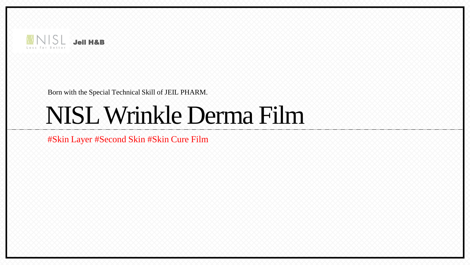

Born with the Special Technical Skill of JEIL PHARM.

# NISL Wrinkle Derma Film

#Skin Layer #Second Skin #Skin Cure Film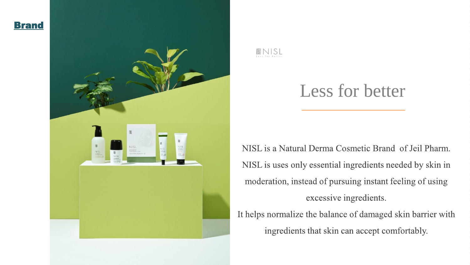



# Less for better

NISL is a Natural Derma Cosmetic Brand of Jeil Pharm. NISL is uses only essential ingredients needed by skin in moderation, instead of pursuing instant feeling of using excessive ingredients. It helps normalize the balance of damaged skin barrier with

ingredients that skin can accept comfortably.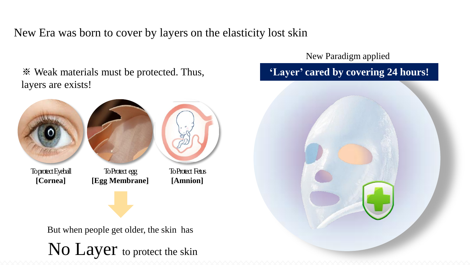New Era was born to cover by layers on the elasticity lost skin

※ Weak materials must be protected. Thus, layers are exists!



But when people get older, the skin has No Layer to protect the skin New Paradigm applied

### **'Layer' cared by covering 24 hours!**

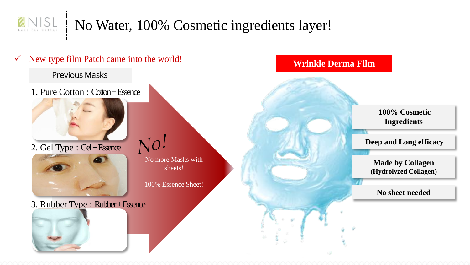### No Water, 100% Cosmetic ingredients layer!

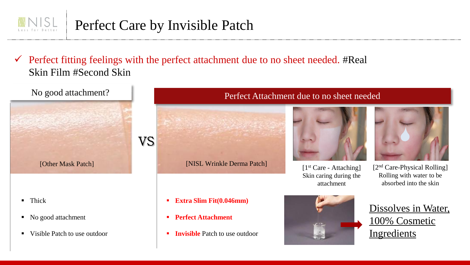# Perfect Care by Invisible Patch

 $\checkmark$  Perfect fitting feelings with the perfect attachment due to no sheet needed. #Real Skin Film #Second Skin

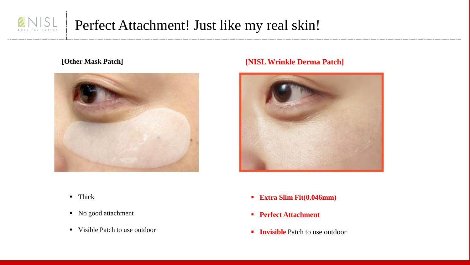



#### **[Other Mask Patch] [NISL Wrinkle Derma Patch]**



- **Thick**
- No good attachment
- Visible Patch to use outdoor
- **Extra Slim Fit(0.046mm)**
- **Perfect Attachment**
- **Invisible** Patch to use outdoor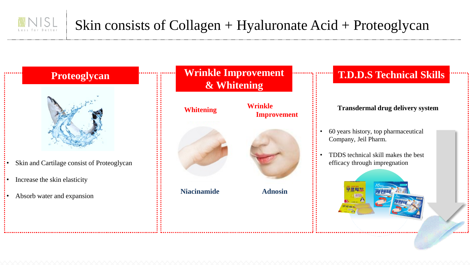

- Skin and Cartilage consist of Proteoglycan
- Increase the skin elasticity
- Absorb water and expansion

#### **Proteoglycan Wrinkle Improvement & Whitening**



# **Improvement**

**Adnosin**

#### **T.D.D.S Technical Skills**

#### **Transdermal drug delivery system**

• 60 years history, top pharmaceutical Company, Jeil Pharm.

• TDDS technical skill makes the best efficacy through impregnation

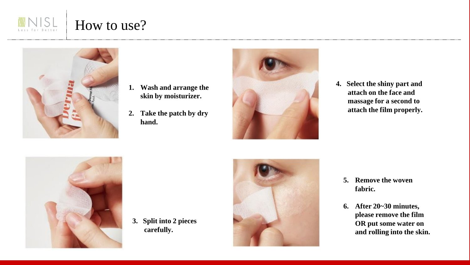



- **1. Wash and arrange the skin by moisturizer.**
- **2. Take the patch by dry hand.**



**4. Select the shiny part and attach on the face and massage for a second to attach the film properly.**



**3. Split into 2 pieces carefully.**



- **5. Remove the woven fabric.**
- **6. After 20~30 minutes, please remove the film OR put some water on and rolling into the skin.**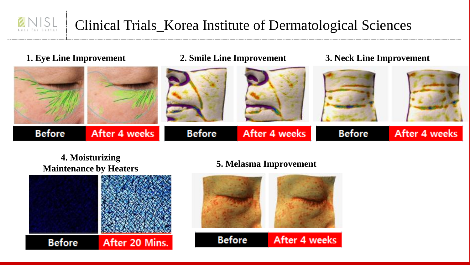# Clinical Trials\_Korea Institute of Dermatological Sciences



#### **4. Moisturizing Maintenance by Heaters 5. Melasma Improvement**



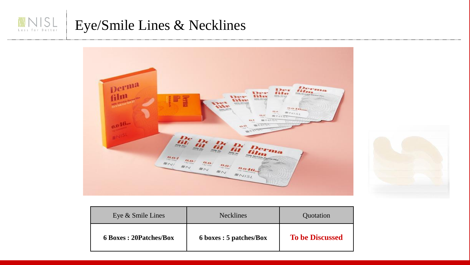#### Eye/Smile Lines & Necklines Less for Better





| Eye & Smile Lines              | <b>Necklines</b>        | <b>Ouotation</b>       |
|--------------------------------|-------------------------|------------------------|
| <b>6 Boxes : 20Patches/Box</b> | 6 boxes : 5 patches/Box | <b>To be Discussed</b> |